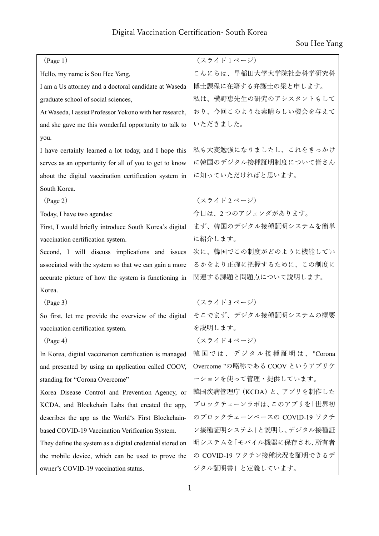| (Page 1)                                                 | (スライド1ページ)                    |
|----------------------------------------------------------|-------------------------------|
| Hello, my name is Sou Hee Yang,                          | こんにちは、早稲田大学大学院社会科学研究科         |
| I am a Us attorney and a doctoral candidate at Waseda    | 博士課程に在籍する弁護士の梁と申します。          |
| graduate school of social sciences,                      | 私は、横野恵先生の研究のアシスタントもして         |
| At Waseda, I assist Professor Yokono with her research,  | おり、今回このような素晴らしい機会を与えて         |
| and she gave me this wonderful opportunity to talk to    | いただきました。                      |
| you.                                                     |                               |
| I have certainly learned a lot today, and I hope this    | 私も大変勉強になりましたし、これをきっかけ         |
| serves as an opportunity for all of you to get to know   | に韓国のデジタル接種証明制度について皆さん         |
| about the digital vaccination certification system in    | に知っていただければと思います。              |
| South Korea.                                             |                               |
| $(\text{Page } 2)$                                       | (スライド2ページ)                    |
| Today, I have two agendas:                               | 今日は、2つのアジェンダがあります。            |
| First, I would briefly introduce South Korea's digital   | まず、韓国のデジタル接種証明システムを簡単         |
| vaccination certification system.                        | に紹介します。                       |
| Second, I will discuss implications and issues           | 次に、韓国でこの制度がどのように機能してい         |
| associated with the system so that we can gain a more    | るかをより正確に把握するために、この制度に         |
| accurate picture of how the system is functioning in     | 関連する課題と問題点について説明します。          |
| Korea.                                                   |                               |
| (Page 3)                                                 | (スライド3ページ)                    |
| So first, let me provide the overview of the digital     | そこでまず、デジタル接種証明システムの概要         |
| vaccination certification system.                        | を説明します。                       |
| $(\text{Page } 4)$                                       | (スライド4ページ)                    |
| In Korea, digital vaccination certification is managed   | 韓国では、デジタル接種証明は、"Corona        |
| and presented by using an application called COOV,       | Overcome "の略称である COOV というアプリケ |
| standing for "Corona Overcome"                           | ーションを使って管理・提供しています。           |
| Korea Disease Control and Prevention Agency, or          | 韓国疾病管理庁 (KCDA) と、アプリを制作した     |
| KCDA, and Blockchain Labs that created the app,          | ブロックチェーンラボは、このアプリを「世界初        |
| describes the app as the World's First Blockchain-       | のブロックチェーンベースの COVID-19 ワクチ    |
| based COVID-19 Vaccination Verification System.          | ン接種証明システム」と説明し、デジタル接種証        |
| They define the system as a digital credential stored on | 明システムを「モバイル機器に保存され、所有者        |
| the mobile device, which can be used to prove the        | の COVID-19 ワクチン接種状況を証明できるデ    |
| owner's COVID-19 vaccination status.                     | ジタル証明書」と定義しています。              |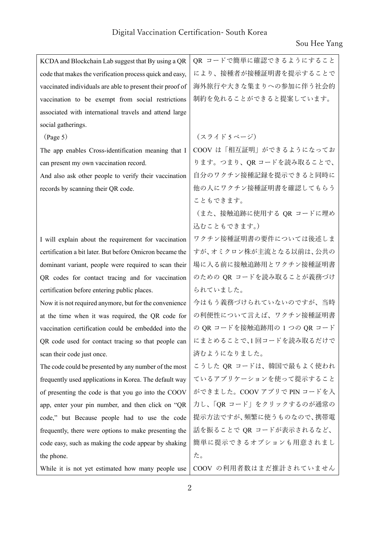| KCDA and Blockchain Lab suggest that By using a QR        | QR コードで簡単に確認できるようにすること      |
|-----------------------------------------------------------|-----------------------------|
| code that makes the verification process quick and easy,  | により、接種者が接種証明書を提示することで       |
| vaccinated individuals are able to present their proof of | 海外旅行や大きな集まりへの参加に伴う社会的       |
| vaccination to be exempt from social restrictions         | 制約を免れることができると提案しています。       |
| associated with international travels and attend large    |                             |
| social gatherings.                                        |                             |
| (Page 5)                                                  | (スライド5ページ)                  |
| The app enables Cross-identification meaning that I       | COOV は「相互証明」ができるようになってお     |
| can present my own vaccination record.                    | ります。つまり、QR コードを読み取ることで、     |
| And also ask other people to verify their vaccination     | 自分のワクチン接種記録を提示できると同時に       |
| records by scanning their QR code.                        | 他の人にワクチン接種証明書を確認してもらう       |
|                                                           | こともできます。                    |
|                                                           | (また、接触追跡に使用する QR コードに埋め     |
|                                                           | 込むこともできます。)                 |
| I will explain about the requirement for vaccination      | ワクチン接種証明書の要件については後述しま       |
| certification a bit later. But before Omicron became the  | すが、オミクロン株が主流となる以前は、公共の      |
| dominant variant, people were required to scan their      | 場に入る前に接触追跡用とワクチン接種証明書       |
| QR codes for contact tracing and for vaccination          | のための QR コードを読み取ることが義務づけ     |
| certification before entering public places.              | られていました。                    |
| Now it is not required anymore, but for the convenience   | 今はもう義務づけられていないのですが、当時       |
| at the time when it was required, the QR code for         | の利便性について言えば、ワクチン接種証明書       |
| vaccination certification could be embedded into the      | の QR コードを接触追跡用の 1 つの QR コード |
| QR code used for contact tracing so that people can       | にまとめることで、1回コードを読み取るだけで      |
| scan their code just once.                                | 済むようになりました。                 |
| The code could be presented by any number of the most     | こうした QR コードは、韓国で最もよく使われ     |
| frequently used applications in Korea. The default way    | ているアプリケーションを使って提示すること       |
| of presenting the code is that you go into the COOV       | ができました。COOV アプリで PIN コードを入  |
| app, enter your pin number, and then click on "QR         | 力し、「QR コード」をクリックするのが通常の     |
| code," but Because people had to use the code             | 提示方法ですが、頻繁に使うものなので、携帯電      |
| frequently, there were options to make presenting the     | 話を振ることで QR コードが表示されるなど、     |
| code easy, such as making the code appear by shaking      | 簡単に提示できるオプションも用意されまし        |
| the phone.                                                | た。                          |
| While it is not yet estimated how many people use         | COOV の利用者数はまだ推計されていません      |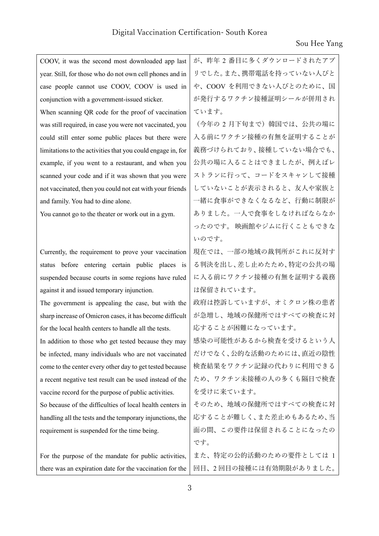| COOV, it was the second most downloaded app last            | が、昨年 2 番目に多くダウンロードされたアプ |
|-------------------------------------------------------------|-------------------------|
| year. Still, for those who do not own cell phones and in    | リでした。また、携帯電話を持っていない人びと  |
| case people cannot use COOV, COOV is used in                | や、COOV を利用できない人びとのために、国 |
| conjunction with a government-issued sticker.               | が発行するワクチン接種証明シールが併用され   |
| When scanning QR code for the proof of vaccination          | ています。                   |
| was still required, in case you were not vaccinated, you    | (今年の2月下旬まで)韓国では、公共の場に   |
| could still enter some public places but there were         | 入る前にワクチン接種の有無を証明することが   |
| limitations to the activities that you could engage in, for | 義務づけられており、接種していない場合でも、  |
| example, if you went to a restaurant, and when you          | 公共の場に入ることはできましたが、例えばレ   |
| scanned your code and if it was shown that you were         | ストランに行って、コードをスキャンして接種   |
| not vaccinated, then you could not eat with your friends    | していないことが表示されると、友人や家族と   |
| and family. You had to dine alone.                          | 一緒に食事ができなくなるなど、行動に制限が   |
| You cannot go to the theater or work out in a gym.          | ありました。一人で食事をしなければならなか   |
|                                                             | ったのです。映画館やジムに行くこともできな   |
|                                                             | いのです。                   |
| Currently, the requirement to prove your vaccination        | 現在では、一部の地域の裁判所がこれに反対す   |
| status before entering certain public places is             | る判決を出し、差し止めたため、特定の公共の場  |
| suspended because courts in some regions have ruled         | に入る前にワクチン接種の有無を証明する義務   |
| against it and issued temporary injunction.                 | は保留されています。              |
| The government is appealing the case, but with the          | 政府は控訴していますが、オミクロン株の患者   |
| sharp increase of Omicron cases, it has become difficult    | が急増し、地域の保健所ではすべての検査に対   |
| for the local health centers to handle all the tests.       | 応することが困難になっています。        |
| In addition to those who get tested because they may        | 感染の可能性があるから検査を受けるという人   |
| be infected, many individuals who are not vaccinated        | だけでなく、公的な活動のためには、直近の陰性  |
| come to the center every other day to get tested because    | 検査結果をワクチン記録の代わりに利用できる   |
| a recent negative test result can be used instead of the    | ため、ワクチン未接種の人の多くも隔日で検査   |
| vaccine record for the purpose of public activities.        | を受けに来ています。              |
| So because of the difficulties of local health centers in   | そのため、地域の保健所ではすべての検査に対   |
| handling all the tests and the temporary injunctions, the   | 応することが難しく、また差止めもあるため、当  |
| requirement is suspended for the time being.                | 面の間、この要件は保留されることになったの   |
|                                                             | です。                     |
| For the purpose of the mandate for public activities,       | また、特定の公的活動のための要件としては 1  |
| there was an expiration date for the vaccination for the    | 回目、2回目の接種には有効期限がありました。  |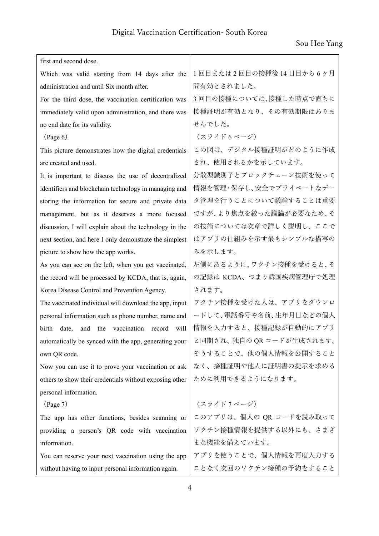$\overline{\phantom{a}}$ 

| first and second dose.                                        |                          |
|---------------------------------------------------------------|--------------------------|
| Which was valid starting from 14 days after the               | 1回目または2回目の接種後14日目から6ヶ月   |
| administration and until Six month after.                     | 間有効とされました。               |
| For the third dose, the vaccination certification was         | 3回目の接種については、接種した時点で直ちに   |
| immediately valid upon administration, and there was          | 接種証明が有効となり、その有効期限はありま    |
| no end date for its validity.                                 | せんでした。                   |
| $(\text{Page } 6)$                                            | (スライド6ページ)               |
| This picture demonstrates how the digital credentials         | この図は、デジタル接種証明がどのように作成    |
| are created and used.                                         | され、使用されるかを示しています。        |
| It is important to discuss the use of decentralized           | 分散型識別子とブロックチェーン技術を使って    |
| identifiers and blockchain technology in managing and         | 情報を管理・保存し、安全でプライベートなデー   |
| storing the information for secure and private data           | タ管理を行うことについて議論することは重要    |
| management, but as it deserves a more focused                 | ですが、より焦点を絞った議論が必要なため、そ   |
| discussion, I will explain about the technology in the        | の技術については次章で詳しく説明し、ここで    |
| next section, and here I only demonstrate the simplest        | はアプリの仕組みを示す最もシンプルな描写の    |
| picture to show how the app works.                            | みを示します。                  |
| As you can see on the left, when you get vaccinated,          | 左側にあるように、ワクチン接種を受けると、そ   |
| the record will be processed by KCDA, that is, again,         | の記録は KCDA、つまり韓国疾病管理庁で処理  |
| Korea Disease Control and Prevention Agency.                  | されます。                    |
| The vaccinated individual will download the app, input        | ワクチン接種を受けた人は、アプリをダウンロ    |
| personal information such as phone number, name and           | ードして、電話番号や名前、生年月日などの個人   |
| birth<br>vaccination<br>record<br>date,<br>and<br>the<br>will | 情報を入力すると、接種記録が自動的にアプリ    |
| automatically be synced with the app, generating your         | と同期され、独自の QR コードが生成されます。 |
| own QR code.                                                  | そうすることで、他の個人情報を公開すること    |
| Now you can use it to prove your vaccination or ask           | なく、接種証明や他人に証明書の提示を求める    |
| others to show their credentials without exposing other       | ために利用できるようになります。         |
| personal information.                                         |                          |
| (Page 7)                                                      | (スライド7ページ)               |
| The app has other functions, besides scanning or              | このアプリは、個人の QR コードを読み取って  |
| providing a person's QR code with vaccination                 | ワクチン接種情報を提供する以外にも、さまざ    |
| information.                                                  | まな機能を備えています。             |
| You can reserve your next vaccination using the app           | アプリを使うことで、個人情報を再度入力する    |
| without having to input personal information again.           | ことなく次回のワクチン接種の予約をすること    |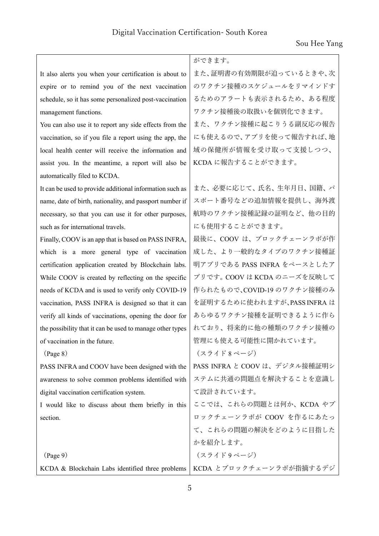|                                                           | ができます。                        |
|-----------------------------------------------------------|-------------------------------|
| It also alerts you when your certification is about to    | また、証明書の有効期限が迫っているときや、次        |
| expire or to remind you of the next vaccination           | のワクチン接種のスケジュールをリマインドす         |
| schedule, so it has some personalized post-vaccination    | るためのアラートも表示されるため、ある程度         |
| management functions.                                     | ワクチン接種後の取扱いを個別化できます。          |
| You can also use it to report any side effects from the   | また、ワクチン接種に起こりうる副反応の報告         |
| vaccination, so if you file a report using the app, the   | にも使えるので、アプリを使って報告すれば、地        |
| local health center will receive the information and      | 域の保健所が情報を受け取って支援しつつ、          |
| assist you. In the meantime, a report will also be        | KCDA に報告することができます。            |
| automatically filed to KCDA.                              |                               |
| It can be used to provide additional information such as  | また、必要に応じて、氏名、生年月日、国籍、パ        |
| name, date of birth, nationality, and passport number if  | スポート番号などの追加情報を提供し、海外渡         |
| necessary, so that you can use it for other purposes,     | 航時のワクチン接種記録の証明など、他の目的         |
| such as for international travels.                        | にも使用することができます。                |
| Finally, COOV is an app that is based on PASS INFRA,      | 最後に、COOV は、ブロックチェーンラボが作       |
| which is a more general type of vaccination               | 成した、より一般的なタイプのワクチン接種証         |
| certification application created by Blockchain labs.     | 明アプリである PASS INFRA をベースとしたア   |
| While COOV is created by reflecting on the specific       | プリです。COOV は KCDA のニーズを反映して    |
| needs of KCDA and is used to verify only COVID-19         | 作られたもので、COVID-19 のワクチン接種のみ    |
| vaccination, PASS INFRA is designed so that it can        | を証明するために使われますが、PASS INFRA は   |
| verify all kinds of vaccinations, opening the door for    | あらゆるワクチン接種を証明できるように作ら         |
| the possibility that it can be used to manage other types | れており、将来的に他の種類のワクチン接種の         |
| of vaccination in the future.                             | 管理にも使える可能性に開かれています。           |
| (Page 8)                                                  | (スライド8ページ)                    |
| PASS INFRA and COOV have been designed with the           | PASS INFRA と COOV は、デジタル接種証明シ |
| awareness to solve common problems identified with        | ステムに共通の問題点を解決することを意識し         |
| digital vaccination certification system.                 | て設計されています。                    |
| I would like to discuss about them briefly in this        | ここでは、これらの問題とは何か、KCDA やブ       |
| section.                                                  | ロックチェーンラボが COOV を作るにあたっ       |
|                                                           | て、これらの問題の解決をどのように目指した         |
|                                                           | かを紹介します。                      |
| $(\text{Page } 9)$                                        | (スライド9ページ)                    |
| KCDA & Blockchain Labs identified three problems          | KCDA とブロックチェーンラボが指摘するデジ       |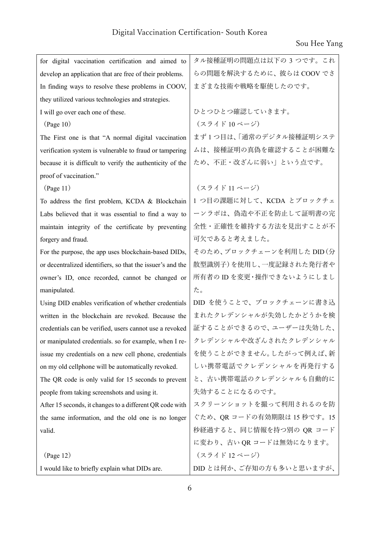| for digital vaccination certification and aimed to         | タル接種証明の問題点は以下の3つです。これ      |
|------------------------------------------------------------|----------------------------|
| develop an application that are free of their problems.    | らの問題を解決するために、彼らは COOV でさ   |
| In finding ways to resolve these problems in COOV,         | まざまな技術や戦略を駆使したのです。         |
| they utilized various technologies and strategies.         |                            |
| I will go over each one of these.                          | ひとつひとつ確認していきます。            |
| (Page 10)                                                  | (スライド10ページ)                |
| The First one is that "A normal digital vaccination        | まず1つ目は、「通常のデジタル接種証明システ     |
| verification system is vulnerable to fraud or tampering    | ムは、接種証明の真偽を確認することが困難な      |
| because it is difficult to verify the authenticity of the  | ため、不正・改ざんに弱い」という点です。       |
| proof of vaccination."                                     |                            |
| (Page 11)                                                  | (スライド11ページ)                |
| To address the first problem, KCDA & Blockchain            | 1 つ目の課題に対して、KCDA とブロックチェ   |
| Labs believed that it was essential to find a way to       | ーンラボは、偽造や不正を防止して証明書の完      |
| maintain integrity of the certificate by preventing        | 全性・正確性を維持する方法を見出すことが不      |
| forgery and fraud.                                         | 可欠であると考えました。               |
| For the purpose, the app uses blockchain-based DIDs,       | そのため、ブロックチェーンを利用した DID (分  |
| or decentralized identifiers, so that the issuer's and the | 散型識別子)を使用し、一度記録された発行者や     |
| owner's ID, once recorded, cannot be changed or            | 所有者の ID を変更・操作できないようにしまし   |
| manipulated.                                               | た。                         |
| Using DID enables verification of whether credentials      | DID を使うことで、ブロックチェーンに書き込    |
| written in the blockchain are revoked. Because the         | まれたクレデンシャルが失効したかどうかを検      |
| credentials can be verified, users cannot use a revoked    | 証することができるので、ユーザーは失効した、     |
| or manipulated credentials. so for example, when I re-     | クレデンシャルや改ざんされたクレデンシャル      |
| issue my credentials on a new cell phone, credentials      | を使うことができません。したがって例えば、新     |
| on my old cellphone will be automatically revoked.         | しい携帯電話でクレデンシャルを再発行する       |
| The QR code is only valid for 15 seconds to prevent        | と、古い携帯電話のクレデンシャルも自動的に      |
| people from taking screenshots and using it.               | 失効することになるのです。              |
| After 15 seconds, it changes to a different QR code with   | スクリーンショットを撮って利用されるのを防      |
| the same information, and the old one is no longer         | ぐため、QR コードの有効期限は 15 秒です。15 |
| valid.                                                     | 秒経過すると、同じ情報を持つ別の QR コード    |
|                                                            | に変わり、古い QR コードは無効になります。    |
| (Page 12)                                                  | (スライド12ページ)                |
| I would like to briefly explain what DIDs are.             | DID とは何か、ご存知の方も多いと思いますが、   |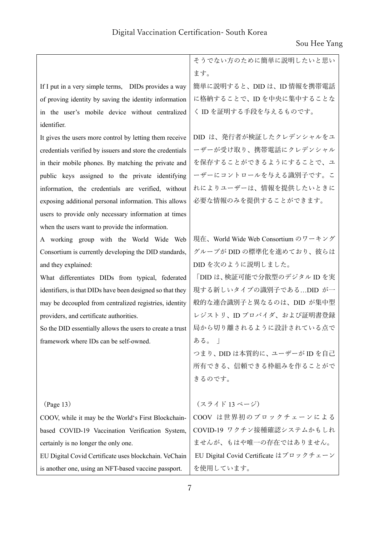|                                                           | そうでない方のために簡単に説明したいと思い                  |
|-----------------------------------------------------------|----------------------------------------|
|                                                           | ます。                                    |
| If I put in a very simple terms, DIDs provides a way      | 簡単に説明すると、DID は、ID 情報を携帯電話              |
| of proving identity by saving the identity information    | に格納することで、ID を中央に集中することな                |
| in the user's mobile device without centralized           | く ID を証明する手段を与えるものです。                  |
| identifier.                                               |                                        |
| It gives the users more control by letting them receive   | DID は、発行者が検証したクレデンシャルをユ                |
| credentials verified by issuers and store the credentials | ーザーが受け取り、携帯電話にクレデンシャル                  |
| in their mobile phones. By matching the private and       | を保存することができるようにすることで、ユ                  |
| public keys assigned to the private identifying           | ーザーにコントロールを与える識別子です。こ                  |
| information, the credentials are verified, without        | れによりユーザーは、情報を提供したいときに                  |
| exposing additional personal information. This allows     | 必要な情報のみを提供することができます。                   |
| users to provide only necessary information at times      |                                        |
| when the users want to provide the information.           |                                        |
| A working group with the World Wide Web                   | 現在、World Wide Web Consortium のワーキング    |
| Consortium is currently developing the DID standards,     | グループが DID の標準化を進めており、彼らは               |
| and they explained:                                       | DID を次のように説明しました。                      |
| What differentiates DIDs from typical, federated          | 「DID は、検証可能で分散型のデジタル ID を実             |
| identifiers, is that DIDs have been designed so that they | 現する新しいタイプの識別子であるDID が一                 |
| may be decoupled from centralized registries, identity    | 般的な連合識別子と異なるのは、DID が集中型                |
| providers, and certificate authorities.                   | レジストリ、ID プロバイダ、および証明書登録                |
| So the DID essentially allows the users to create a trust | 局から切り離されるように設計されている点で                  |
| framework where IDs can be self-owned.                    | ある。」                                   |
|                                                           | つまり、DID は本質的に、ユーザーが ID を自己             |
|                                                           | 所有できる、信頼できる枠組みを作ることがで                  |
|                                                           | きるのです。                                 |
|                                                           |                                        |
| (Page 13)                                                 | (スライド13ページ)                            |
| COOV, while it may be the World's First Blockchain-       | COOV は世界初のブロックチェーンによる                  |
| based COVID-19 Vaccination Verification System,           | COVID-19 ワクチン接種確認システムかもしれ              |
| certainly is no longer the only one.                      | ませんが、もはや唯一の存在ではありません。                  |
| EU Digital Covid Certificate uses blockchain. VeChain     | EU Digital Covid Certificate はブロックチェーン |
| is another one, using an NFT-based vaccine passport.      | を使用しています。                              |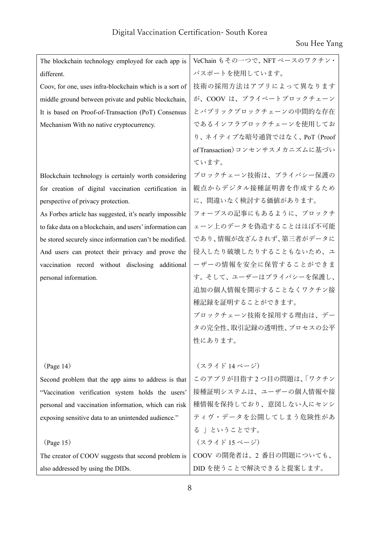| The blockchain technology employed for each app is       | VeChain もその一つで、NFT ベースのワクチン・    |
|----------------------------------------------------------|---------------------------------|
| different.                                               | パスポートを使用しています。                  |
| Coov, for one, uses infra-blockchain which is a sort of  | 技術の採用方法はアプリによって異なります            |
| middle ground between private and public blockchain,     | が、COOV は、プライベートブロックチェーン         |
| It is based on Proof-of-Transaction (PoT) Consensus      | とパブリックブロックチェーンの中間的な存在           |
| Mechanism With no native cryptocurrency.                 | であるインフラブロックチェーンを使用してお           |
|                                                          | り、ネイティブな暗号通貨ではなく、PoT (Proof     |
|                                                          | of Transaction) コンセンサスメカニズムに基づい |
|                                                          | ています。                           |
| Blockchain technology is certainly worth considering     | ブロックチェーン技術は、プライバシー保護の           |
| for creation of digital vaccination certification in     | 観点からデジタル接種証明書を作成するため            |
| perspective of privacy protection.                       | に、間違いなく検討する価値があります。             |
| As Forbes article has suggested, it's nearly impossible  | フォーブスの記事にもあるように、ブロックチ           |
| to fake data on a blockchain, and users' information can | ェーン上のデータを偽造することはほぼ不可能           |
| be stored securely since information can't be modified.  | であり、情報が改ざんされず、第三者がデータに          |
| And users can protect their privacy and prove the        | 侵入したり破壊したりすることもないため、ユ           |
| vaccination record without disclosing additional         | ーザーの情報を安全に保管することができま            |
| personal information.                                    | す。そして、ユーザーはプライバシーを保護し、          |
|                                                          | 追加の個人情報を開示することなくワクチン接           |
|                                                          | 種記録を証明することができます。                |
|                                                          | ブロックチェーン技術を採用する理由は、デー           |
|                                                          | タの完全性、取引記録の透明性、プロセスの公平          |
|                                                          | 性にあります。                         |
|                                                          |                                 |
| (Page 14)                                                | (スライド 14 ページ)                   |
| Second problem that the app aims to address is that      | このアプリが目指す2つ目の問題は、「ワクチン          |
| "Vaccination verification system holds the users'        | 接種証明システムは、ユーザーの個人情報や接           |
| personal and vaccination information, which can risk     | 種情報を保持しており、意図しない人にセンシ           |
| exposing sensitive data to an unintended audience."      | ティヴ・データを公開してしまう危険性があ            |
|                                                          | る」ということです。                      |
| (Page 15)                                                | (スライド15ページ)                     |
| The creator of COOV suggests that second problem is      | COOV の開発者は、2番目の問題についても、         |
| also addressed by using the DIDs.                        | DID を使うことで解決できると提案します。          |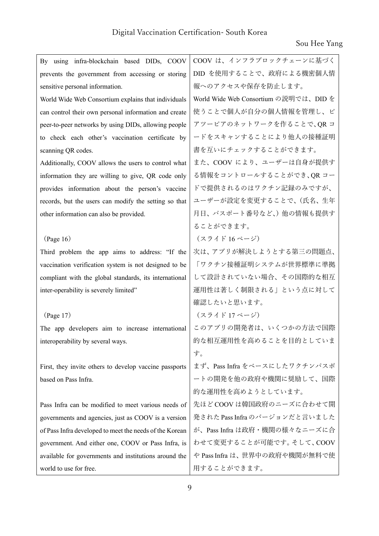| By using infra-blockchain based DIDs, COOV              | COOV は、インフラブロックチェーンに基づく               |
|---------------------------------------------------------|---------------------------------------|
| prevents the government from accessing or storing       | DID を使用することで、政府による機密個人情               |
| sensitive personal information.                         | 報へのアクセスや保存を防止します。                     |
| World Wide Web Consortium explains that individuals     | World Wide Web Consortium の説明では、DID を |
| can control their own personal information and create   | 使うことで個人が自分の個人情報を管理し、ピ                 |
| peer-to-peer networks by using DIDs, allowing people    | アツーピアのネットワークを作ることで、QR コ               |
| to check each other's vaccination certificate by        | ードをスキャンすることにより他人の接種証明                 |
| scanning QR codes.                                      | 書を互いにチェックすることができます。                   |
| Additionally, COOV allows the users to control what     | また、COOV により、ユーザーは自身が提供す               |
| information they are willing to give, QR code only      | る情報をコントロールすることができ、OR コー               |
| provides information about the person's vaccine         | ドで提供されるのはワクチン記録のみですが、                 |
| records, but the users can modify the setting so that   | ユーザーが設定を変更することで、(氏名、生年                |
| other information can also be provided.                 | 月日、パスポート番号など、)他の情報も提供す                |
|                                                         | ることができます。                             |
| (Page 16)                                               | (スライド16ページ)                           |
| Third problem the app aims to address: "If the          | 次は、アプリが解決しようとする第三の問題点、                |
| vaccination verification system is not designed to be   | 「ワクチン接種証明システムが世界標準に準拠                 |
| compliant with the global standards, its international  | して設計されていない場合、その国際的な相互                 |
| inter-operability is severely limited"                  | 運用性は著しく制限される」という点に対して                 |
|                                                         | 確認したいと思います。                           |
| (Page 17)                                               | (スライド17ページ)                           |
| The app developers aim to increase international        | このアプリの開発者は、いくつかの方法で国際                 |
| interoperability by several ways.                       | 的な相互運用性を高めることを目的としていま                 |
|                                                         | す。                                    |
| First, they invite others to develop vaccine passports  | まず、Pass Infra をベースにしたワクチンパスポ          |
| based on Pass Infra.                                    | ートの開発を他の政府や機関に奨励して、国際                 |
|                                                         | 的な運用性を高めようとしています。                     |
| Pass Infra can be modified to meet various needs of     | 先ほど COOV は韓国政府のニーズに合わせて開              |
| governments and agencies, just as COOV is a version     | 発された Pass Infra のバージョンだと言いました         |
| of Pass Infra developed to meet the needs of the Korean | が、Pass Infra は政府・機関の様々なニーズに合          |
| government. And either one, COOV or Pass Infra, is      | わせて変更することが可能です。そして、COOV               |
| available for governments and institutions around the   | や Pass Infra は、世界中の政府や機関が無料で使         |
| world to use for free.                                  | 用することができます。                           |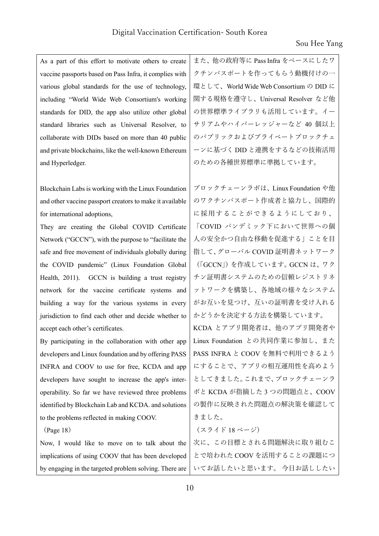As a part of this effort to motivate others to create vaccine passports based on Pass Infra, it complies with various global standards for the use of technology, including "World Wide Web Consortium's working standards for DID, the app also utilize other global standard libraries such as Universal Resolver, to collaborate with DIDs based on more than 40 public and private blockchains, like the well-known Ethereum and Hyperledger.

Blockchain Labs is working with the Linux Foundation and other vaccine passport creators to make it available for international adoptions,

They are creating the Global COVID Certificate Network ("GCCN"), with the purpose to "facilitate the safe and free movement of individuals globally during the COVID pandemic" (Linux Foundation Global Health, 2011). GCCN is building a trust registry network for the vaccine certificate systems and building a way for the various systems in every jurisdiction to find each other and decide whether to accept each other's certificates.

By participating in the collaboration with other app developers and Linux foundation and by offering PASS INFRA and COOV to use for free, KCDA and app developers have sought to increase the app's interoperability. So far we have reviewed three problems identified by Blockchain Lab and KCDA. and solutions to the problems reflected in making COOV.

(Page 18)

Now, I would like to move on to talk about the implications of using COOV that has been developed by engaging in the targeted problem solving. There are

また、他の政府等に Pass Infra をベースにしたワ クチンパスポートを作ってもらう動機付けの一 環として、World Wide Web Consortium の DID に 関する規格を遵守し、Universal Resolver など他 の世界標準ライブラリも活用しています。イー サリアムやハイパーレッジャーなど 40 個以上 のパブリックおよびプライベートブロックチェ ーンに基づく DID と連携をするなどの技術活用 のための各種世界標準に準拠しています。

ブロックチェーンラボは、Linux Foundation や他 のワクチンパスポート作成者と協力し、国際的 に採用することができるようにしており、 「COVID パンデミック下において世界への個 人の安全かつ自由な移動を促進する」ことを目 指して、グローバル COVID 証明書ネットワーク (「GCCN」)を作成しています。GCCN は、ワク チン証明書システムのための信頼レジストリネ ットワークを構築し、各地域の様々なシステム がお互いを見つけ、互いの証明書を受け入れる かどうかを決定する方法を構築しています。 KCDA とアプリ開発者は、他のアプリ開発者や Linux Foundation との共同作業に参加し、また PASS INFRA と COOV を無料で利用できるよう にすることで、アプリの相互運用性を高めよう としてきました。これまで、ブロックチェーンラ ボと KCDA が指摘した 3 つの問題点と、COOV の製作に反映された問題点の解決策を確認して きました。 (スライド 18 ページ) 次に、この⽬標とされる問題解決に取り組むこ

とで培われた COOV を活用することの課題につ いてお話したいと思います。 今⽇お話ししたい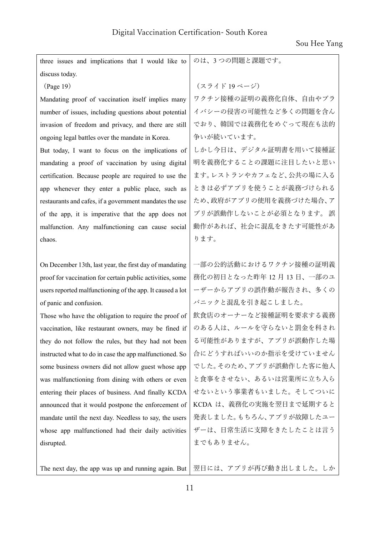Sou Hee Yang

| three issues and implications that I would like to        | のは、3つの問題と課題です。          |
|-----------------------------------------------------------|-------------------------|
| discuss today.                                            |                         |
| (Page 19)                                                 | (スライド19ページ)             |
| Mandating proof of vaccination itself implies many        | ワクチン接種の証明の義務化自体、自由やプラ   |
| number of issues, including questions about potential     | イバシーの侵害の可能性など多くの問題を含ん   |
| invasion of freedom and privacy, and there are still      | でおり、韓国では義務化をめぐって現在も法的   |
| ongoing legal battles over the mandate in Korea.          | 争いが続いています。              |
| But today, I want to focus on the implications of         | しかし今日は、デジタル証明書を用いて接種証   |
| mandating a proof of vaccination by using digital         | 明を義務化することの課題に注目したいと思い   |
| certification. Because people are required to use the     | ます。レストランやカフェなど、公共の場に入る  |
| app whenever they enter a public place, such as           | ときは必ずアプリを使うことが義務づけられる   |
| restaurants and cafes, if a government mandates the use   | ため、政府がアプリの使用を義務づけた場合、ア  |
| of the app, it is imperative that the app does not        | プリが誤動作しないことが必須となります。 誤  |
| malfunction. Any malfunctioning can cause social          | 動作があれば、社会に混乱をきたす可能性があ   |
| chaos.                                                    | ります。                    |
|                                                           |                         |
|                                                           |                         |
| On December 13th, last year, the first day of mandating   | 一部の公的活動におけるワクチン接種の証明義   |
| proof for vaccination for certain public activities, some | 務化の初日となった昨年12月13日、一部のユ  |
| users reported malfunctioning of the app. It caused a lot | ーザーからアプリの誤作動が報告され、多くの   |
| of panic and confusion.                                   | パニックと混乱を引き起こしました。       |
| Those who have the obligation to require the proof of     | 飲食店のオーナーなど接種証明を要求する義務   |
| vaccination, like restaurant owners, may be fined if      | のある人は、ルールを守らないと罰金を科され   |
| they do not follow the rules, but they had not been       | る可能性がありますが、アプリが誤動作した場   |
| instructed what to do in case the app malfunctioned. So   | 合にどうすればいいのか指示を受けていません   |
| some business owners did not allow guest whose app        | でした。そのため、アプリが誤動作した客に他人  |
| was malfunctioning from dining with others or even        | と食事をさせない、あるいは営業所に立ち入ら   |
| entering their places of business. And finally KCDA       | せないという事業者もいました。そしてついに   |
| announced that it would postpone the enforcement of       | KCDA は、義務化の実施を翌日まで延期すると |
| mandate until the next day. Needless to say, the users    | 発表しました。もちろん、アプリが故障したユー  |
| whose app malfunctioned had their daily activities        | ザーは、日常生活に支障をきたしたことは言う   |
| disrupted.                                                | までもありません。               |

The next day, the app was up and running again. But|翌日には、アプリが再び動き出しました。しか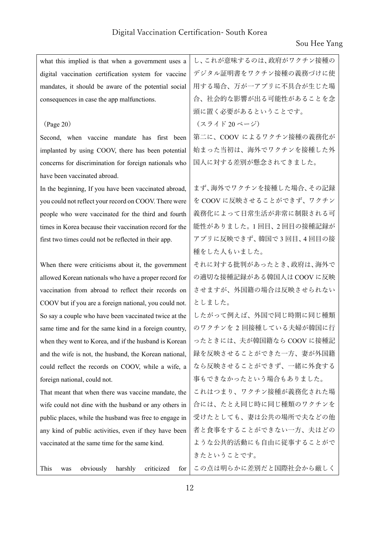| what this implied is that when a government uses a       | し、これが意味するのは、政府がワクチン接種の   |
|----------------------------------------------------------|--------------------------|
| digital vaccination certification system for vaccine     | デジタル証明書をワクチン接種の義務づけに使    |
| mandates, it should be aware of the potential social     | 用する場合、万が一アプリに不具合が生じた場    |
| consequences in case the app malfunctions.               | 合、社会的な影響が出る可能性があることを念    |
|                                                          | 頭に置く必要があるということです。        |
| (Page 20)                                                | (スライド20ページ)              |
| Second, when vaccine mandate has first been              | 第二に、COOV によるワクチン接種の義務化が  |
| implanted by using COOV, there has been potential        | 始まった当初は、海外でワクチンを接種した外    |
| concerns for discrimination for foreign nationals who    | 国人に対する差別が懸念されてきました。      |
| have been vaccinated abroad.                             |                          |
| In the beginning, If you have been vaccinated abroad,    | まず、海外でワクチンを接種した場合、その記録   |
| you could not reflect your record on COOV. There were    | を COOV に反映させることができず、ワクチン |
| people who were vaccinated for the third and fourth      | 義務化によって日常生活が非常に制限される可    |
| times in Korea because their vaccination record for the  | 能性がありました。1回目、2回目の接種記録が   |
| first two times could not be reflected in their app.     | アプリに反映できず、韓国で3回目、4回目の接   |
|                                                          | 種をした人もいました。              |
| When there were criticisms about it, the government      | それに対する批判があったとき、政府は、海外で   |
| allowed Korean nationals who have a proper record for    | の適切な接種記録がある韓国人は COOV に反映 |
| vaccination from abroad to reflect their records on      | させますが、外国籍の場合は反映させられない    |
| COOV but if you are a foreign national, you could not.   | としました。                   |
| So say a couple who have been vaccinated twice at the    | したがって例えば、外国で同じ時期に同じ種類    |
| same time and for the same kind in a foreign country,    | のワクチンを2回接種している夫婦が韓国に行    |
| when they went to Korea, and if the husband is Korean    | ったときには、夫が韓国籍なら COOV に接種記 |
| and the wife is not, the husband, the Korean national,   | 録を反映させることができた一方、妻が外国籍    |
| could reflect the records on COOV, while a wife, a       | なら反映させることができず、一緒に外食する    |
| foreign national, could not.                             | 事もできなかったという場合もありました。     |
| That meant that when there was vaccine mandate, the      | これはつまり、ワクチン接種が義務化された場    |
| wife could not dine with the husband or any others in    | 合には、たとえ同じ時に同じ種類のワクチンを    |
| public places, while the husband was free to engage in   | 受けたとしても、妻は公共の場所で夫などの他    |
| any kind of public activities, even if they have been    | 者と食事をすることができない一方、夫はどの    |
| vaccinated at the same time for the same kind.           | ような公共的活動にも自由に従事することがで    |
|                                                          | きたということです。               |
| obviously<br>harshly<br>criticized<br>This<br>for<br>was | この点は明らかに差別だと国際社会から厳しく    |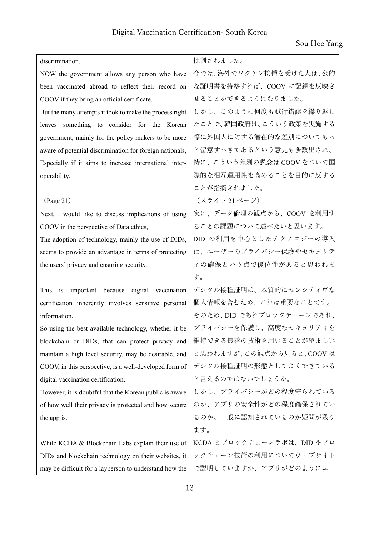| discrimination.                                                | 批判されました。                  |
|----------------------------------------------------------------|---------------------------|
| NOW the government allows any person who have                  | 今では、海外でワクチン接種を受けた人は、公的    |
| been vaccinated abroad to reflect their record on              | な証明書を持参すれば、COOV に記録を反映さ   |
| COOV if they bring an official certificate.                    | せることができるようになりました。         |
| But the many attempts it took to make the process right        | しかし、このように何度も試行錯誤を繰り返し     |
| leaves something to consider for the Korean                    | たことで、韓国政府は、こういう政策を実施する    |
| government, mainly for the policy makers to be more            | 際に外国人に対する潜在的な差別についてもっ     |
| aware of potential discrimination for foreign nationals,       | と留意すべきであるという意見も多数出され、     |
| Especially if it aims to increase international inter-         | 特に、こういう差別の懸念は COOV をついて国  |
| operability.                                                   | 際的な相互運用性を高めることを目的に反する     |
|                                                                | ことが指摘されました。               |
| (Page 21)                                                      | (スライド21ページ)               |
| Next, I would like to discuss implications of using            | 次に、データ倫理の観点から、COOVを利用す    |
| COOV in the perspective of Data ethics,                        | ることの課題について述べたいと思います。      |
| The adoption of technology, mainly the use of DIDs,            | DID の利用を中心としたテクノロジーの導入    |
| seems to provide an advantage in terms of protecting           | は、ユーザーのプライバシー保護やセキュリテ     |
| the users' privacy and ensuring security.                      | ィの確保という点で優位性があると思われま      |
|                                                                | す。                        |
| important because digital vaccination<br>This<br>$\mathbf{is}$ | デジタル接種証明は、本質的にセンシティヴな     |
| certification inherently involves sensitive personal           | 個人情報を含むため、これは重要なことです。     |
| information.                                                   | そのため、DID であれブロックチェーンであれ、  |
| So using the best available technology, whether it be          | プライバシーを保護し、高度なセキュリティを     |
| blockchain or DIDs, that can protect privacy and               | 維持できる最善の技術を用いることが望ましい     |
| maintain a high level security, may be desirable, and          | と思われますが、この観点から見ると、COOVは   |
| COOV, in this perspective, is a well-developed form of         | デジタル接種証明の形態としてよくできている     |
| digital vaccination certification.                             | と言えるのではないでしょうか。           |
| However, it is doubtful that the Korean public is aware        | しかし、プライバシーがどの程度守られている     |
| of how well their privacy is protected and how secure          | のか、アプリの安全性がどの程度確保されてい     |
| the app is.                                                    | るのか、一般に認知されているのか疑問が残り     |
|                                                                | ます。                       |
| While KCDA & Blockchain Labs explain their use of              | KCDA とブロックチェーンラボは、DID やブロ |
| DIDs and blockchain technology on their websites, it           | ックチェーン技術の利用についてウェブサイト     |
| may be difficult for a layperson to understand how the         | で説明していますが、アプリがどのようにユー     |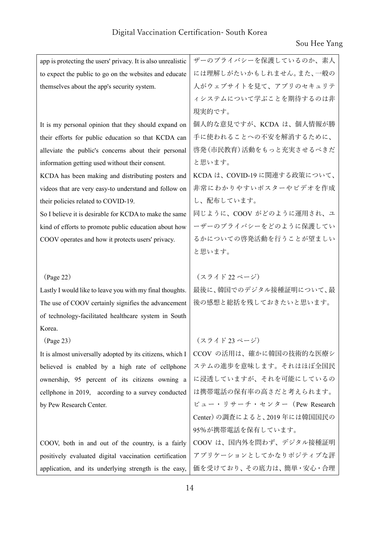| app is protecting the users' privacy. It is also unrealistic | ザーのプライバシーを保護しているのか、素人        |
|--------------------------------------------------------------|------------------------------|
| to expect the public to go on the websites and educate       | には理解しがたいかもしれません。また、一般の       |
| themselves about the app's security system.                  | 人がウェブサイトを見て、アプリのセキュリテ        |
|                                                              | ィシステムについて学ぶことを期待するのは非        |
|                                                              | 現実的です。                       |
| It is my personal opinion that they should expand on         | 個人的な意見ですが、KCDA は、個人情報が勝      |
| their efforts for public education so that KCDA can          | 手に使われることへの不安を解消するために、        |
| alleviate the public's concerns about their personal         | 啓発 (市民教育) 活動をもっと充実させるべきだ     |
| information getting used without their consent.              | と思います。                       |
| KCDA has been making and distributing posters and            | KCDA は、COVID-19 に関連する政策について、 |
| videos that are very easy-to understand and follow on        | 非常にわかりやすいポスターやビデオを作成         |
| their policies related to COVID-19.                          | し、配布しています。                   |
| So I believe it is desirable for KCDA to make the same       | 同じように、COOV がどのように運用され、ユ      |
| kind of efforts to promote public education about how        | ーザーのプライバシーをどのように保護してい        |
| COOV operates and how it protects users' privacy.            | るかについての啓発活動を行うことが望ましい        |
|                                                              | と思います。                       |
|                                                              |                              |
|                                                              |                              |
| (Page 22)                                                    | (スライド22ページ)                  |
| Lastly I would like to leave you with my final thoughts.     | 最後に、韓国でのデジタル接種証明について、最       |
| The use of COOV certainly signifies the advancement          | 後の感想と総括を残しておきたいと思います。        |
| of technology-facilitated healthcare system in South         |                              |
| Korea.                                                       |                              |
| $({\rm Page}\, 23)$                                          | (スライド 23 ページ)                |
| It is almost universally adopted by its citizens, which I    | CCOV の活用は、確かに韓国の技術的な医療シ      |
| believed is enabled by a high rate of cellphone              | ステムの進歩を意味します。それはほぼ全国民        |
| ownership, 95 percent of its citizens owning a               | に浸透していますが、それを可能にしているの        |
| cellphone in 2019, according to a survey conducted           | は携帯電話の保有率の高さだと考えられます。        |
| by Pew Research Center.                                      | ピュー・リサーチ・センター (Pew Research  |
|                                                              | Center)の調査によると、2019年には韓国国民の  |
|                                                              | 95%が携帯電話を保有しています。            |
| COOV, both in and out of the country, is a fairly            | COOV は、国内外を問わず、デジタル接種証明      |
| positively evaluated digital vaccination certification       | アプリケーションとしてかなりポジティブな評        |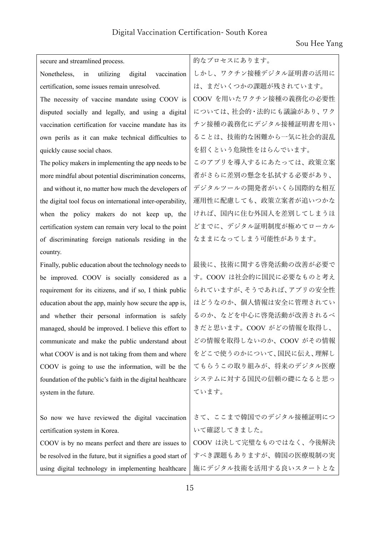| secure and streamlined process.                             | 的なプロセスにあります。            |
|-------------------------------------------------------------|-------------------------|
| Nonetheless,<br>utilizing<br>digital<br>vaccination<br>in   | しかし、ワクチン接種デジタル証明書の活用に   |
| certification, some issues remain unresolved.               | は、まだいくつかの課題が残されています。    |
| The necessity of vaccine mandate using COOV is              | COOV を用いたワクチン接種の義務化の必要性 |
| disputed socially and legally, and using a digital          | については、社会的・法的にも議論があり、ワク  |
| vaccination certification for vaccine mandate has its       | チン接種の義務化にデジタル接種証明書を用い   |
| own perils as it can make technical difficulties to         | ることは、技術的な困難から一気に社会的混乱   |
| quickly cause social chaos.                                 | を招くという危険性をはらんでいます。      |
| The policy makers in implementing the app needs to be       | このアプリを導入するにあたっては、政策立案   |
| more mindful about potential discrimination concerns,       | 者がさらに差別の懸念を払拭する必要があり、   |
| and without it, no matter how much the developers of        | デジタルツールの開発者がいくら国際的な相互   |
| the digital tool focus on international inter-operability,  | 運用性に配慮しても、政策立案者が追いつかな   |
| when the policy makers do not keep up, the                  | ければ、国内に住む外国人を差別してしまうほ   |
| certification system can remain very local to the point     | どまでに、デジタル証明制度が極めてローカル   |
| of discriminating foreign nationals residing in the         | なままになってしまう可能性があります。     |
| country.                                                    |                         |
| Finally, public education about the technology needs to     | 最後に、技術に関する啓発活動の改善が必要で   |
| be improved. COOV is socially considered as a               | す。COOV は社会的に国民に必要なものと考え |
| requirement for its citizens, and if so, I think public     | られていますが、そうであれば、アプリの安全性  |
| education about the app, mainly how secure the app is,      | はどうなのか、個人情報は安全に管理されてい   |
| and whether their personal information is safely            | るのか、などを中心に啓発活動が改善されるべ   |
| managed, should be improved. I believe this effort to       | きだと思います。COOV がどの情報を取得し、 |
| communicate and make the public understand about            | どの情報を取得しないのか、COOV がその情報 |
| what COOV is and is not taking from them and where          | をどこで使うのかについて、国民に伝え、理解し  |
| COOV is going to use the information, will be the           | てもらうこの取り組みが、将来のデジタル医療   |
| foundation of the public's faith in the digital healthcare  | システムに対する国民の信頼の礎になると思っ   |
| system in the future.                                       | ています。                   |
|                                                             |                         |
| So now we have reviewed the digital vaccination             | さて、ここまで韓国でのデジタル接種証明につ   |
| certification system in Korea.                              | いて確認してきました。             |
| COOV is by no means perfect and there are issues to         | COOV は決して完璧なものではなく、今後解決 |
| be resolved in the future, but it signifies a good start of | すべき課題もありますが、韓国の医療規制の実   |
| using digital technology in implementing healthcare         | 施にデジタル技術を活用する良いスタートとな   |